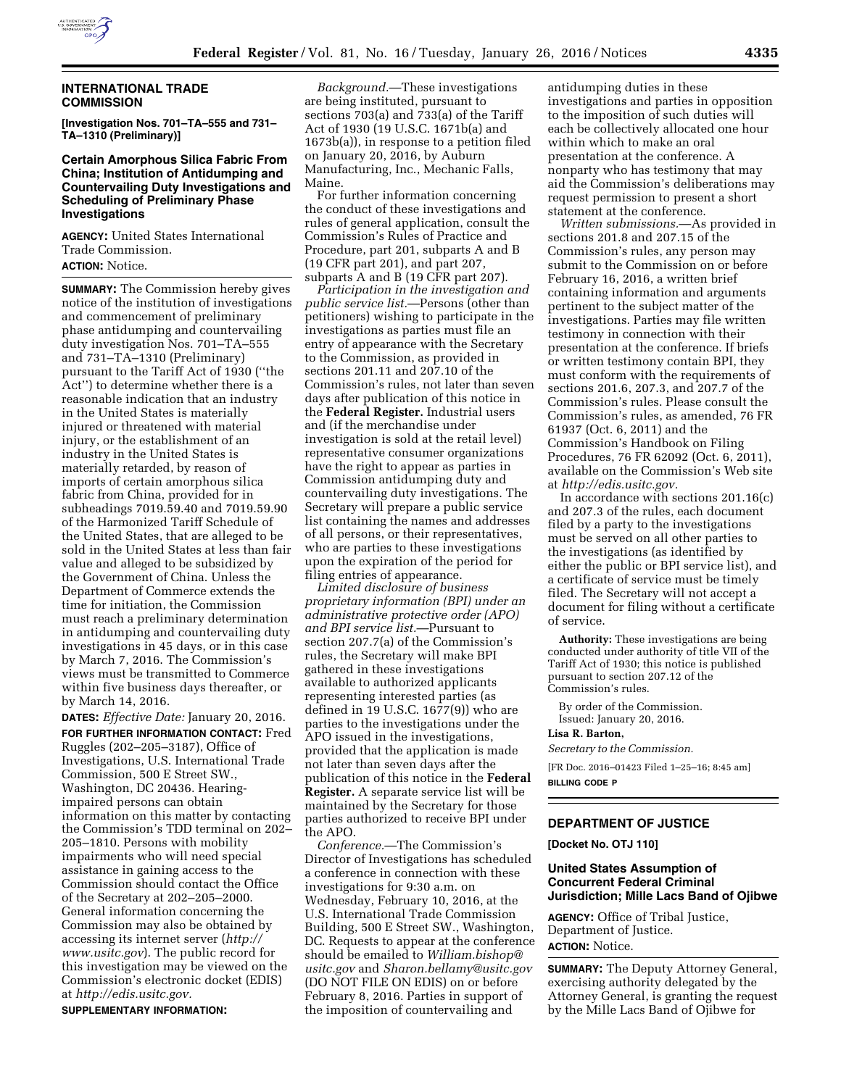

## **INTERNATIONAL TRADE COMMISSION**

**[Investigation Nos. 701–TA–555 and 731– TA–1310 (Preliminary)]** 

## **Certain Amorphous Silica Fabric From China; Institution of Antidumping and Countervailing Duty Investigations and Scheduling of Preliminary Phase Investigations**

**AGENCY:** United States International Trade Commission. **ACTION:** Notice.

**SUMMARY:** The Commission hereby gives notice of the institution of investigations and commencement of preliminary phase antidumping and countervailing duty investigation Nos. 701–TA–555 and 731–TA–1310 (Preliminary) pursuant to the Tariff Act of 1930 (''the Act'') to determine whether there is a reasonable indication that an industry in the United States is materially injured or threatened with material injury, or the establishment of an industry in the United States is materially retarded, by reason of imports of certain amorphous silica fabric from China, provided for in subheadings 7019.59.40 and 7019.59.90 of the Harmonized Tariff Schedule of the United States, that are alleged to be sold in the United States at less than fair value and alleged to be subsidized by the Government of China. Unless the Department of Commerce extends the time for initiation, the Commission must reach a preliminary determination in antidumping and countervailing duty investigations in 45 days, or in this case by March 7, 2016. The Commission's views must be transmitted to Commerce within five business days thereafter, or by March 14, 2016.

**DATES:** *Effective Date:* January 20, 2016. **FOR FURTHER INFORMATION CONTACT:** Fred Ruggles (202–205–3187), Office of Investigations, U.S. International Trade Commission, 500 E Street SW., Washington, DC 20436. Hearingimpaired persons can obtain information on this matter by contacting the Commission's TDD terminal on 202– 205–1810. Persons with mobility impairments who will need special assistance in gaining access to the Commission should contact the Office of the Secretary at 202–205–2000. General information concerning the Commission may also be obtained by accessing its internet server (*[http://](http://www.usitc.gov) [www.usitc.gov](http://www.usitc.gov)*). The public record for this investigation may be viewed on the Commission's electronic docket (EDIS) at *[http://edis.usitc.gov.](http://edis.usitc.gov)* 

**SUPPLEMENTARY INFORMATION:** 

*Background.*—These investigations are being instituted, pursuant to sections 703(a) and 733(a) of the Tariff Act of 1930 (19 U.S.C. 1671b(a) and 1673b(a)), in response to a petition filed on January 20, 2016, by Auburn Manufacturing, Inc., Mechanic Falls, Maine.

For further information concerning the conduct of these investigations and rules of general application, consult the Commission's Rules of Practice and Procedure, part 201, subparts A and B (19 CFR part 201), and part 207, subparts A and B (19 CFR part 207).

*Participation in the investigation and public service list.*—Persons (other than petitioners) wishing to participate in the investigations as parties must file an entry of appearance with the Secretary to the Commission, as provided in sections 201.11 and 207.10 of the Commission's rules, not later than seven days after publication of this notice in the **Federal Register.** Industrial users and (if the merchandise under investigation is sold at the retail level) representative consumer organizations have the right to appear as parties in Commission antidumping duty and countervailing duty investigations. The Secretary will prepare a public service list containing the names and addresses of all persons, or their representatives, who are parties to these investigations upon the expiration of the period for filing entries of appearance.

*Limited disclosure of business proprietary information (BPI) under an administrative protective order (APO) and BPI service list.*—Pursuant to section 207.7(a) of the Commission's rules, the Secretary will make BPI gathered in these investigations available to authorized applicants representing interested parties (as defined in 19 U.S.C. 1677(9)) who are parties to the investigations under the APO issued in the investigations, provided that the application is made not later than seven days after the publication of this notice in the **Federal Register.** A separate service list will be maintained by the Secretary for those parties authorized to receive BPI under the APO.

*Conference.*—The Commission's Director of Investigations has scheduled a conference in connection with these investigations for 9:30 a.m. on Wednesday, February 10, 2016, at the U.S. International Trade Commission Building, 500 E Street SW., Washington, DC. Requests to appear at the conference should be emailed to *[William.bishop@](mailto:William.bishop@usitc.gov) [usitc.gov](mailto:William.bishop@usitc.gov)* and *[Sharon.bellamy@usitc.gov](mailto:Sharon.bellamy@usitc.gov)*  (DO NOT FILE ON EDIS) on or before February 8, 2016. Parties in support of the imposition of countervailing and

antidumping duties in these investigations and parties in opposition to the imposition of such duties will each be collectively allocated one hour within which to make an oral presentation at the conference. A nonparty who has testimony that may aid the Commission's deliberations may request permission to present a short statement at the conference.

*Written submissions.*—As provided in sections 201.8 and 207.15 of the Commission's rules, any person may submit to the Commission on or before February 16, 2016, a written brief containing information and arguments pertinent to the subject matter of the investigations. Parties may file written testimony in connection with their presentation at the conference. If briefs or written testimony contain BPI, they must conform with the requirements of sections 201.6, 207.3, and 207.7 of the Commission's rules. Please consult the Commission's rules, as amended, 76 FR 61937 (Oct. 6, 2011) and the Commission's Handbook on Filing Procedures, 76 FR 62092 (Oct. 6, 2011), available on the Commission's Web site at *[http://edis.usitc.gov.](http://edis.usitc.gov)* 

In accordance with sections 201.16(c) and 207.3 of the rules, each document filed by a party to the investigations must be served on all other parties to the investigations (as identified by either the public or BPI service list), and a certificate of service must be timely filed. The Secretary will not accept a document for filing without a certificate of service.

**Authority:** These investigations are being conducted under authority of title VII of the Tariff Act of 1930; this notice is published pursuant to section 207.12 of the Commission's rules.

By order of the Commission. Issued: January 20, 2016.

#### **Lisa R. Barton,**

*Secretary to the Commission.* 

[FR Doc. 2016–01423 Filed 1–25–16; 8:45 am] **BILLING CODE P** 

## **DEPARTMENT OF JUSTICE**

**[Docket No. OTJ 110]** 

## **United States Assumption of Concurrent Federal Criminal Jurisdiction; Mille Lacs Band of Ojibwe**

**AGENCY:** Office of Tribal Justice, Department of Justice. **ACTION:** Notice.

**SUMMARY:** The Deputy Attorney General, exercising authority delegated by the Attorney General, is granting the request by the Mille Lacs Band of Ojibwe for